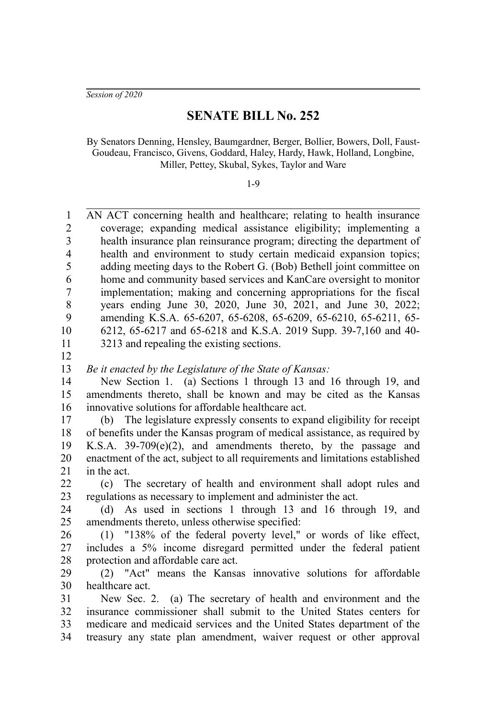*Session of 2020*

## **SENATE BILL No. 252**

By Senators Denning, Hensley, Baumgardner, Berger, Bollier, Bowers, Doll, Faust-Goudeau, Francisco, Givens, Goddard, Haley, Hardy, Hawk, Holland, Longbine, Miller, Pettey, Skubal, Sykes, Taylor and Ware

1-9

AN ACT concerning health and healthcare; relating to health insurance coverage; expanding medical assistance eligibility; implementing a health insurance plan reinsurance program; directing the department of health and environment to study certain medicaid expansion topics; adding meeting days to the Robert G. (Bob) Bethell joint committee on home and community based services and KanCare oversight to monitor implementation; making and concerning appropriations for the fiscal years ending June 30, 2020, June 30, 2021, and June 30, 2022; amending K.S.A. 65-6207, 65-6208, 65-6209, 65-6210, 65-6211, 65- 6212, 65-6217 and 65-6218 and K.S.A. 2019 Supp. 39-7,160 and 40- 3213 and repealing the existing sections. *Be it enacted by the Legislature of the State of Kansas:* New Section 1. (a) Sections 1 through 13 and 16 through 19, and amendments thereto, shall be known and may be cited as the Kansas innovative solutions for affordable healthcare act. (b) The legislature expressly consents to expand eligibility for receipt of benefits under the Kansas program of medical assistance, as required by 1 2 3 4 5 6 7 8 9 10 11 12 13 14 15 16 17 18

K.S.A. 39-709(e)(2), and amendments thereto, by the passage and enactment of the act, subject to all requirements and limitations established in the act. 19 20 21

(c) The secretary of health and environment shall adopt rules and regulations as necessary to implement and administer the act. 22 23

(d) As used in sections 1 through 13 and 16 through 19, and amendments thereto, unless otherwise specified: 24 25

(1) "138% of the federal poverty level," or words of like effect, includes a 5% income disregard permitted under the federal patient protection and affordable care act. 26 27 28

(2) "Act" means the Kansas innovative solutions for affordable healthcare act. 29 30

New Sec. 2. (a) The secretary of health and environment and the insurance commissioner shall submit to the United States centers for medicare and medicaid services and the United States department of the treasury any state plan amendment, waiver request or other approval 31 32 33 34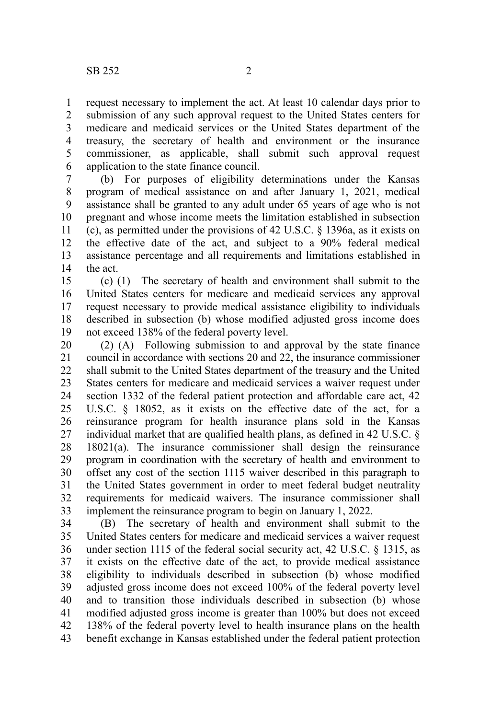request necessary to implement the act. At least 10 calendar days prior to submission of any such approval request to the United States centers for medicare and medicaid services or the United States department of the treasury, the secretary of health and environment or the insurance commissioner, as applicable, shall submit such approval request application to the state finance council. 1 2 3 4 5 6

(b) For purposes of eligibility determinations under the Kansas program of medical assistance on and after January 1, 2021, medical assistance shall be granted to any adult under 65 years of age who is not pregnant and whose income meets the limitation established in subsection (c), as permitted under the provisions of 42 U.S.C. § 1396a, as it exists on the effective date of the act, and subject to a 90% federal medical assistance percentage and all requirements and limitations established in the act. 7 8 9 10 11 12 13 14

(c) (1) The secretary of health and environment shall submit to the United States centers for medicare and medicaid services any approval request necessary to provide medical assistance eligibility to individuals described in subsection (b) whose modified adjusted gross income does not exceed 138% of the federal poverty level. 15 16 17 18 19

(2) (A) Following submission to and approval by the state finance council in accordance with sections 20 and 22, the insurance commissioner shall submit to the United States department of the treasury and the United States centers for medicare and medicaid services a waiver request under section 1332 of the federal patient protection and affordable care act, 42 U.S.C. § 18052, as it exists on the effective date of the act, for a reinsurance program for health insurance plans sold in the Kansas individual market that are qualified health plans, as defined in 42 U.S.C. § 18021(a). The insurance commissioner shall design the reinsurance program in coordination with the secretary of health and environment to offset any cost of the section 1115 waiver described in this paragraph to the United States government in order to meet federal budget neutrality requirements for medicaid waivers. The insurance commissioner shall implement the reinsurance program to begin on January 1, 2022. 20 21 22 23 24 25 26 27 28 29 30 31 32 33

(B) The secretary of health and environment shall submit to the United States centers for medicare and medicaid services a waiver request under section 1115 of the federal social security act, 42 U.S.C. § 1315, as it exists on the effective date of the act, to provide medical assistance eligibility to individuals described in subsection (b) whose modified adjusted gross income does not exceed 100% of the federal poverty level and to transition those individuals described in subsection (b) whose modified adjusted gross income is greater than 100% but does not exceed 138% of the federal poverty level to health insurance plans on the health benefit exchange in Kansas established under the federal patient protection 34 35 36 37 38 39 40 41 42 43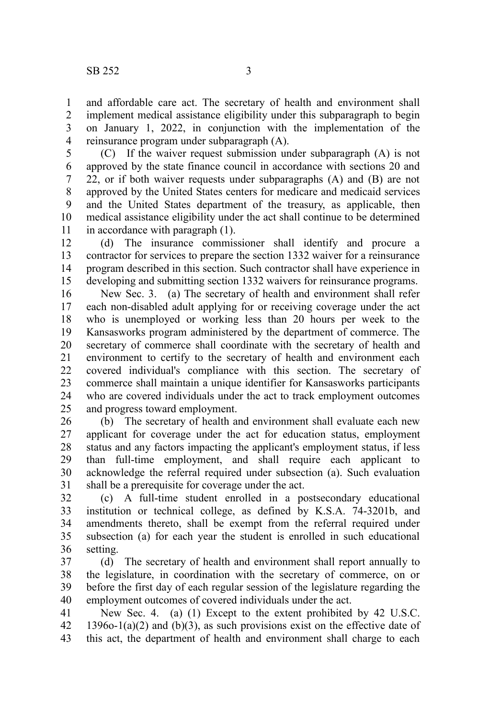and affordable care act. The secretary of health and environment shall implement medical assistance eligibility under this subparagraph to begin on January 1, 2022, in conjunction with the implementation of the reinsurance program under subparagraph (A). 1 2 3 4

(C) If the waiver request submission under subparagraph (A) is not approved by the state finance council in accordance with sections 20 and 22, or if both waiver requests under subparagraphs (A) and (B) are not approved by the United States centers for medicare and medicaid services and the United States department of the treasury, as applicable, then medical assistance eligibility under the act shall continue to be determined in accordance with paragraph (1). 5 6 7 8 9 10 11

(d) The insurance commissioner shall identify and procure a contractor for services to prepare the section 1332 waiver for a reinsurance program described in this section. Such contractor shall have experience in developing and submitting section 1332 waivers for reinsurance programs. 12 13 14 15

New Sec. 3. (a) The secretary of health and environment shall refer each non-disabled adult applying for or receiving coverage under the act who is unemployed or working less than 20 hours per week to the Kansasworks program administered by the department of commerce. The secretary of commerce shall coordinate with the secretary of health and environment to certify to the secretary of health and environment each covered individual's compliance with this section. The secretary of commerce shall maintain a unique identifier for Kansasworks participants who are covered individuals under the act to track employment outcomes and progress toward employment. 16 17 18 19 20 21 22 23 24 25

(b) The secretary of health and environment shall evaluate each new applicant for coverage under the act for education status, employment status and any factors impacting the applicant's employment status, if less than full-time employment, and shall require each applicant to acknowledge the referral required under subsection (a). Such evaluation shall be a prerequisite for coverage under the act. 26 27 28 29 30 31

(c) A full-time student enrolled in a postsecondary educational institution or technical college, as defined by K.S.A. 74-3201b, and amendments thereto, shall be exempt from the referral required under subsection (a) for each year the student is enrolled in such educational setting. 32 33 34 35 36

(d) The secretary of health and environment shall report annually to the legislature, in coordination with the secretary of commerce, on or before the first day of each regular session of the legislature regarding the employment outcomes of covered individuals under the act. 37 38 39 40

New Sec. 4. (a) (1) Except to the extent prohibited by 42 U.S.C. 1396o-1(a)(2) and (b)(3), as such provisions exist on the effective date of this act, the department of health and environment shall charge to each 41 42 43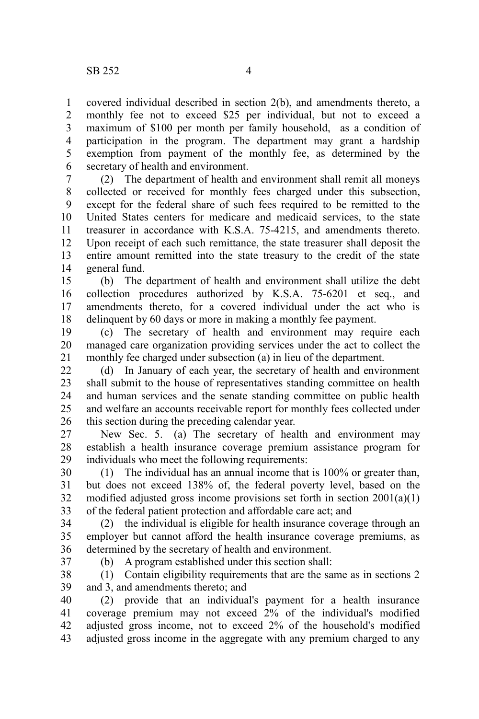covered individual described in section 2(b), and amendments thereto, a monthly fee not to exceed \$25 per individual, but not to exceed a maximum of \$100 per month per family household, as a condition of participation in the program. The department may grant a hardship exemption from payment of the monthly fee, as determined by the secretary of health and environment. 1 2 3 4 5 6

(2) The department of health and environment shall remit all moneys collected or received for monthly fees charged under this subsection, except for the federal share of such fees required to be remitted to the United States centers for medicare and medicaid services, to the state treasurer in accordance with K.S.A. 75-4215, and amendments thereto. Upon receipt of each such remittance, the state treasurer shall deposit the entire amount remitted into the state treasury to the credit of the state general fund. 7 8 9 10 11 12 13 14

(b) The department of health and environment shall utilize the debt collection procedures authorized by K.S.A. 75-6201 et seq., and amendments thereto, for a covered individual under the act who is delinquent by 60 days or more in making a monthly fee payment. 15 16 17 18

(c) The secretary of health and environment may require each managed care organization providing services under the act to collect the monthly fee charged under subsection (a) in lieu of the department. 19 20 21

(d) In January of each year, the secretary of health and environment shall submit to the house of representatives standing committee on health and human services and the senate standing committee on public health and welfare an accounts receivable report for monthly fees collected under this section during the preceding calendar year. 22 23 24 25 26

New Sec. 5. (a) The secretary of health and environment may establish a health insurance coverage premium assistance program for individuals who meet the following requirements: 27 28 29

(1) The individual has an annual income that is 100% or greater than, but does not exceed 138% of, the federal poverty level, based on the modified adjusted gross income provisions set forth in section 2001(a)(1) of the federal patient protection and affordable care act; and 30 31 32 33

(2) the individual is eligible for health insurance coverage through an employer but cannot afford the health insurance coverage premiums, as determined by the secretary of health and environment. 34 35 36

37

(b) A program established under this section shall:

(1) Contain eligibility requirements that are the same as in sections 2 and 3, and amendments thereto; and 38 39

(2) provide that an individual's payment for a health insurance coverage premium may not exceed 2% of the individual's modified adjusted gross income, not to exceed 2% of the household's modified adjusted gross income in the aggregate with any premium charged to any 40 41 42 43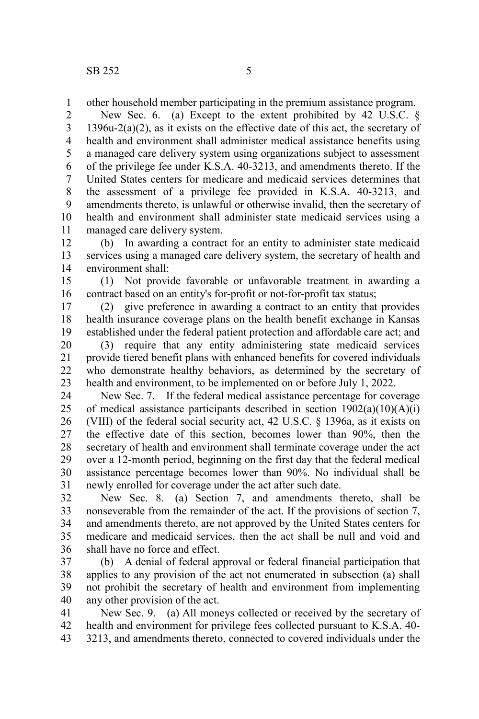other household member participating in the premium assistance program. 1

New Sec. 6. (a) Except to the extent prohibited by 42 U.S.C. § 1396u-2(a)(2), as it exists on the effective date of this act, the secretary of health and environment shall administer medical assistance benefits using a managed care delivery system using organizations subject to assessment of the privilege fee under K.S.A. 40-3213, and amendments thereto. If the United States centers for medicare and medicaid services determines that the assessment of a privilege fee provided in K.S.A. 40-3213, and amendments thereto, is unlawful or otherwise invalid, then the secretary of health and environment shall administer state medicaid services using a managed care delivery system. 2 3 4 5 6 7 8 9 10 11

(b) In awarding a contract for an entity to administer state medicaid services using a managed care delivery system, the secretary of health and environment shall: 12 13 14

(1) Not provide favorable or unfavorable treatment in awarding a contract based on an entity's for-profit or not-for-profit tax status; 15 16

(2) give preference in awarding a contract to an entity that provides health insurance coverage plans on the health benefit exchange in Kansas established under the federal patient protection and affordable care act; and 17 18 19

(3) require that any entity administering state medicaid services provide tiered benefit plans with enhanced benefits for covered individuals who demonstrate healthy behaviors, as determined by the secretary of health and environment, to be implemented on or before July 1, 2022. 20 21 22 23

New Sec. 7. If the federal medical assistance percentage for coverage of medical assistance participants described in section  $1902(a)(10)(A)(i)$ (VIII) of the federal social security act, 42 U.S.C. § 1396a, as it exists on the effective date of this section, becomes lower than 90%, then the secretary of health and environment shall terminate coverage under the act over a 12-month period, beginning on the first day that the federal medical assistance percentage becomes lower than 90%. No individual shall be newly enrolled for coverage under the act after such date. 24 25 26 27 28 29 30 31

New Sec. 8. (a) Section 7, and amendments thereto, shall be nonseverable from the remainder of the act. If the provisions of section 7, and amendments thereto, are not approved by the United States centers for medicare and medicaid services, then the act shall be null and void and shall have no force and effect. 32 33 34 35 36

(b) A denial of federal approval or federal financial participation that applies to any provision of the act not enumerated in subsection (a) shall not prohibit the secretary of health and environment from implementing any other provision of the act. 37 38 39 40

New Sec. 9. (a) All moneys collected or received by the secretary of health and environment for privilege fees collected pursuant to K.S.A. 40- 3213, and amendments thereto, connected to covered individuals under the 41 42 43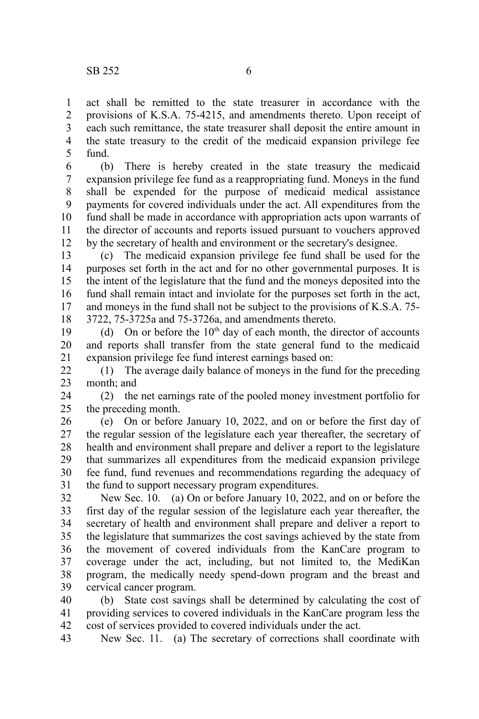act shall be remitted to the state treasurer in accordance with the provisions of K.S.A. 75-4215, and amendments thereto. Upon receipt of each such remittance, the state treasurer shall deposit the entire amount in the state treasury to the credit of the medicaid expansion privilege fee fund. 1 2 3 4 5

(b) There is hereby created in the state treasury the medicaid expansion privilege fee fund as a reappropriating fund. Moneys in the fund shall be expended for the purpose of medicaid medical assistance payments for covered individuals under the act. All expenditures from the fund shall be made in accordance with appropriation acts upon warrants of the director of accounts and reports issued pursuant to vouchers approved by the secretary of health and environment or the secretary's designee. 6 7 8 9 10 11 12

(c) The medicaid expansion privilege fee fund shall be used for the purposes set forth in the act and for no other governmental purposes. It is the intent of the legislature that the fund and the moneys deposited into the fund shall remain intact and inviolate for the purposes set forth in the act, and moneys in the fund shall not be subject to the provisions of K.S.A. 75- 3722, 75-3725a and 75-3726a, and amendments thereto. 13 14 15 16 17 18

(d) On or before the  $10<sup>th</sup>$  day of each month, the director of accounts and reports shall transfer from the state general fund to the medicaid expansion privilege fee fund interest earnings based on: 19 20 21

(1) The average daily balance of moneys in the fund for the preceding month; and 22 23

(2) the net earnings rate of the pooled money investment portfolio for the preceding month. 24 25

(e) On or before January 10, 2022, and on or before the first day of the regular session of the legislature each year thereafter, the secretary of health and environment shall prepare and deliver a report to the legislature that summarizes all expenditures from the medicaid expansion privilege fee fund, fund revenues and recommendations regarding the adequacy of the fund to support necessary program expenditures. 26 27 28 29 30 31

New Sec. 10. (a) On or before January 10, 2022, and on or before the first day of the regular session of the legislature each year thereafter, the secretary of health and environment shall prepare and deliver a report to the legislature that summarizes the cost savings achieved by the state from the movement of covered individuals from the KanCare program to coverage under the act, including, but not limited to, the MediKan program, the medically needy spend-down program and the breast and cervical cancer program. 32 33 34 35 36 37 38 39

(b) State cost savings shall be determined by calculating the cost of providing services to covered individuals in the KanCare program less the cost of services provided to covered individuals under the act. 40 41 42

New Sec. 11. (a) The secretary of corrections shall coordinate with 43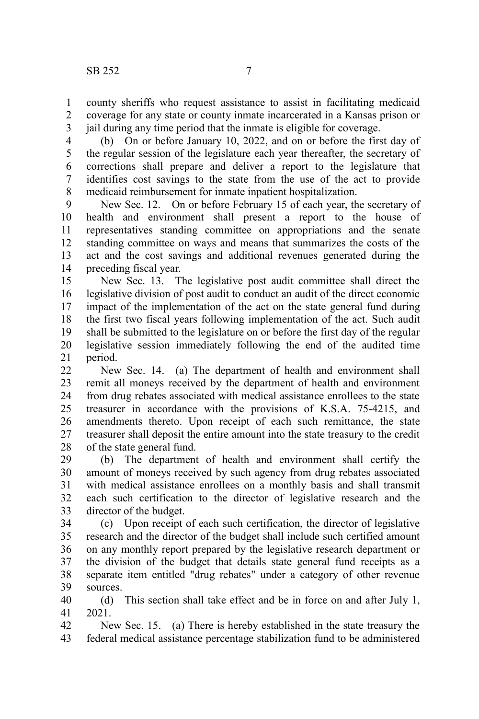county sheriffs who request assistance to assist in facilitating medicaid coverage for any state or county inmate incarcerated in a Kansas prison or jail during any time period that the inmate is eligible for coverage. 1 2 3

(b) On or before January 10, 2022, and on or before the first day of the regular session of the legislature each year thereafter, the secretary of corrections shall prepare and deliver a report to the legislature that identifies cost savings to the state from the use of the act to provide medicaid reimbursement for inmate inpatient hospitalization. 4 5 6 7 8

New Sec. 12. On or before February 15 of each year, the secretary of health and environment shall present a report to the house of representatives standing committee on appropriations and the senate standing committee on ways and means that summarizes the costs of the act and the cost savings and additional revenues generated during the preceding fiscal year. 9 10 11 12 13 14

New Sec. 13. The legislative post audit committee shall direct the legislative division of post audit to conduct an audit of the direct economic impact of the implementation of the act on the state general fund during the first two fiscal years following implementation of the act. Such audit shall be submitted to the legislature on or before the first day of the regular legislative session immediately following the end of the audited time period. 15 16 17 18 19 20 21

New Sec. 14. (a) The department of health and environment shall remit all moneys received by the department of health and environment from drug rebates associated with medical assistance enrollees to the state treasurer in accordance with the provisions of K.S.A. 75-4215, and amendments thereto. Upon receipt of each such remittance, the state treasurer shall deposit the entire amount into the state treasury to the credit of the state general fund.  $22$ 23 24 25 26 27 28

(b) The department of health and environment shall certify the amount of moneys received by such agency from drug rebates associated with medical assistance enrollees on a monthly basis and shall transmit each such certification to the director of legislative research and the director of the budget. 29 30 31 32 33

(c) Upon receipt of each such certification, the director of legislative research and the director of the budget shall include such certified amount on any monthly report prepared by the legislative research department or the division of the budget that details state general fund receipts as a separate item entitled "drug rebates" under a category of other revenue sources. 34 35 36 37 38 39

(d) This section shall take effect and be in force on and after July 1, 2021. 40 41

New Sec. 15. (a) There is hereby established in the state treasury the federal medical assistance percentage stabilization fund to be administered 42 43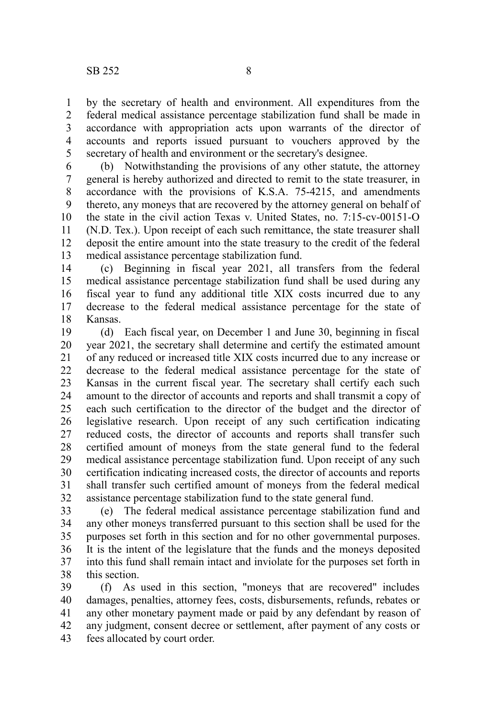by the secretary of health and environment. All expenditures from the federal medical assistance percentage stabilization fund shall be made in accordance with appropriation acts upon warrants of the director of accounts and reports issued pursuant to vouchers approved by the secretary of health and environment or the secretary's designee. 1 2 3 4 5

(b) Notwithstanding the provisions of any other statute, the attorney general is hereby authorized and directed to remit to the state treasurer, in accordance with the provisions of K.S.A. 75-4215, and amendments thereto, any moneys that are recovered by the attorney general on behalf of the state in the civil action Texas v. United States, no. 7:15-cv-00151-O (N.D. Tex.). Upon receipt of each such remittance, the state treasurer shall deposit the entire amount into the state treasury to the credit of the federal medical assistance percentage stabilization fund. 6 7 8 9 10 11 12 13

(c) Beginning in fiscal year 2021, all transfers from the federal medical assistance percentage stabilization fund shall be used during any fiscal year to fund any additional title XIX costs incurred due to any decrease to the federal medical assistance percentage for the state of Kansas. 14 15 16 17 18

(d) Each fiscal year, on December 1 and June 30, beginning in fiscal year 2021, the secretary shall determine and certify the estimated amount of any reduced or increased title XIX costs incurred due to any increase or decrease to the federal medical assistance percentage for the state of Kansas in the current fiscal year. The secretary shall certify each such amount to the director of accounts and reports and shall transmit a copy of each such certification to the director of the budget and the director of legislative research. Upon receipt of any such certification indicating reduced costs, the director of accounts and reports shall transfer such certified amount of moneys from the state general fund to the federal medical assistance percentage stabilization fund. Upon receipt of any such certification indicating increased costs, the director of accounts and reports shall transfer such certified amount of moneys from the federal medical assistance percentage stabilization fund to the state general fund. 19 20 21 22 23 24 25 26 27 28 29 30 31 32

(e) The federal medical assistance percentage stabilization fund and any other moneys transferred pursuant to this section shall be used for the purposes set forth in this section and for no other governmental purposes. It is the intent of the legislature that the funds and the moneys deposited into this fund shall remain intact and inviolate for the purposes set forth in this section. 33 34 35 36 37 38

(f) As used in this section, "moneys that are recovered" includes damages, penalties, attorney fees, costs, disbursements, refunds, rebates or any other monetary payment made or paid by any defendant by reason of any judgment, consent decree or settlement, after payment of any costs or fees allocated by court order. 39 40 41 42 43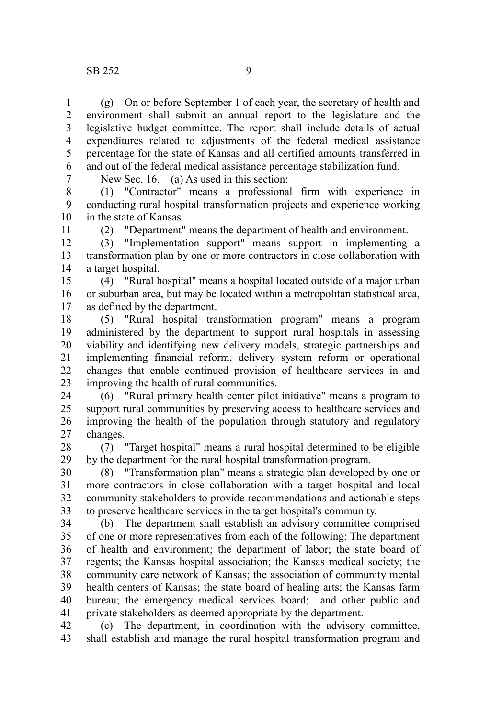(g) On or before September 1 of each year, the secretary of health and environment shall submit an annual report to the legislature and the legislative budget committee. The report shall include details of actual expenditures related to adjustments of the federal medical assistance percentage for the state of Kansas and all certified amounts transferred in and out of the federal medical assistance percentage stabilization fund. 1 2 3 4 5 6

7

New Sec. 16. (a) As used in this section:

(1) "Contractor" means a professional firm with experience in conducting rural hospital transformation projects and experience working in the state of Kansas. 8 9 10

11

(2) "Department" means the department of health and environment.

(3) "Implementation support" means support in implementing a transformation plan by one or more contractors in close collaboration with a target hospital. 12 13 14

(4) "Rural hospital" means a hospital located outside of a major urban or suburban area, but may be located within a metropolitan statistical area, as defined by the department. 15 16 17

(5) "Rural hospital transformation program" means a program administered by the department to support rural hospitals in assessing viability and identifying new delivery models, strategic partnerships and implementing financial reform, delivery system reform or operational changes that enable continued provision of healthcare services in and improving the health of rural communities. 18 19 20 21 22 23

(6) "Rural primary health center pilot initiative" means a program to support rural communities by preserving access to healthcare services and improving the health of the population through statutory and regulatory changes. 24 25 26 27

(7) "Target hospital" means a rural hospital determined to be eligible by the department for the rural hospital transformation program. 28 29

(8) "Transformation plan" means a strategic plan developed by one or more contractors in close collaboration with a target hospital and local community stakeholders to provide recommendations and actionable steps to preserve healthcare services in the target hospital's community. 30 31 32 33

(b) The department shall establish an advisory committee comprised of one or more representatives from each of the following: The department of health and environment; the department of labor; the state board of regents; the Kansas hospital association; the Kansas medical society; the community care network of Kansas; the association of community mental health centers of Kansas; the state board of healing arts; the Kansas farm bureau; the emergency medical services board; and other public and private stakeholders as deemed appropriate by the department. 34 35 36 37 38 39 40 41

(c) The department, in coordination with the advisory committee, shall establish and manage the rural hospital transformation program and 42 43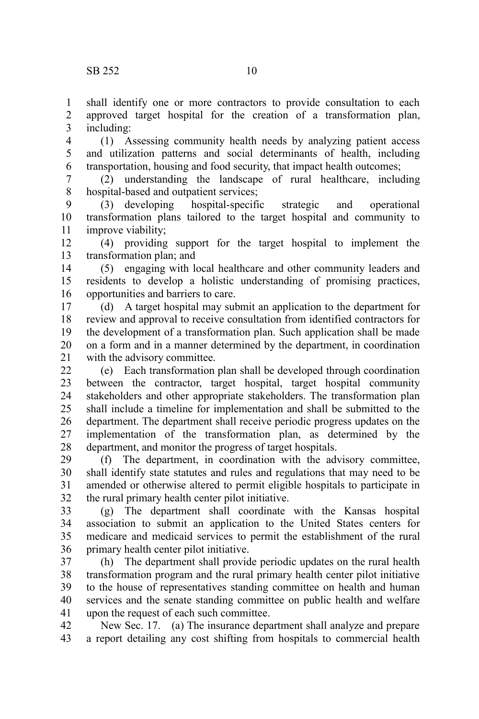shall identify one or more contractors to provide consultation to each approved target hospital for the creation of a transformation plan, including: 1 2 3

(1) Assessing community health needs by analyzing patient access and utilization patterns and social determinants of health, including transportation, housing and food security, that impact health outcomes; 4 5 6

(2) understanding the landscape of rural healthcare, including hospital-based and outpatient services; 7 8

(3) developing hospital-specific strategic and operational transformation plans tailored to the target hospital and community to improve viability; 9 10 11

(4) providing support for the target hospital to implement the transformation plan; and 12 13

(5) engaging with local healthcare and other community leaders and residents to develop a holistic understanding of promising practices, opportunities and barriers to care. 14 15 16

(d) A target hospital may submit an application to the department for review and approval to receive consultation from identified contractors for the development of a transformation plan. Such application shall be made on a form and in a manner determined by the department, in coordination with the advisory committee. 17 18 19 20 21

(e) Each transformation plan shall be developed through coordination between the contractor, target hospital, target hospital community stakeholders and other appropriate stakeholders. The transformation plan shall include a timeline for implementation and shall be submitted to the department. The department shall receive periodic progress updates on the implementation of the transformation plan, as determined by the department, and monitor the progress of target hospitals. 22 23 24 25 26 27 28

(f) The department, in coordination with the advisory committee, shall identify state statutes and rules and regulations that may need to be amended or otherwise altered to permit eligible hospitals to participate in the rural primary health center pilot initiative. 29 30 31 32

(g) The department shall coordinate with the Kansas hospital association to submit an application to the United States centers for medicare and medicaid services to permit the establishment of the rural primary health center pilot initiative. 33 34 35 36

(h) The department shall provide periodic updates on the rural health transformation program and the rural primary health center pilot initiative to the house of representatives standing committee on health and human services and the senate standing committee on public health and welfare upon the request of each such committee. 37 38 39 40 41

New Sec. 17. (a) The insurance department shall analyze and prepare a report detailing any cost shifting from hospitals to commercial health 42 43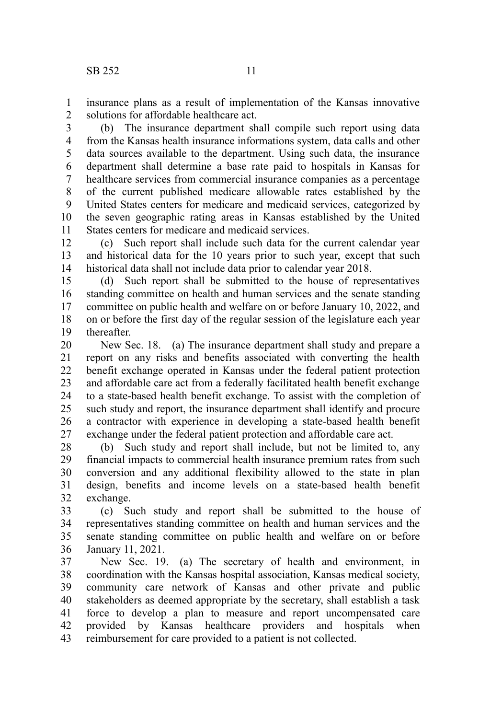insurance plans as a result of implementation of the Kansas innovative solutions for affordable healthcare act. 1 2

(b) The insurance department shall compile such report using data from the Kansas health insurance informations system, data calls and other data sources available to the department. Using such data, the insurance department shall determine a base rate paid to hospitals in Kansas for healthcare services from commercial insurance companies as a percentage of the current published medicare allowable rates established by the United States centers for medicare and medicaid services, categorized by the seven geographic rating areas in Kansas established by the United States centers for medicare and medicaid services. 3 4 5 6 7 8 9 10 11

(c) Such report shall include such data for the current calendar year and historical data for the 10 years prior to such year, except that such historical data shall not include data prior to calendar year 2018. 12 13 14

(d) Such report shall be submitted to the house of representatives standing committee on health and human services and the senate standing committee on public health and welfare on or before January 10, 2022, and on or before the first day of the regular session of the legislature each year thereafter. 15 16 17 18 19

New Sec. 18. (a) The insurance department shall study and prepare a report on any risks and benefits associated with converting the health benefit exchange operated in Kansas under the federal patient protection and affordable care act from a federally facilitated health benefit exchange to a state-based health benefit exchange. To assist with the completion of such study and report, the insurance department shall identify and procure a contractor with experience in developing a state-based health benefit exchange under the federal patient protection and affordable care act. 20 21 22 23 24 25 26 27

(b) Such study and report shall include, but not be limited to, any financial impacts to commercial health insurance premium rates from such conversion and any additional flexibility allowed to the state in plan design, benefits and income levels on a state-based health benefit exchange. 28 29 30 31 32

(c) Such study and report shall be submitted to the house of representatives standing committee on health and human services and the senate standing committee on public health and welfare on or before January 11, 2021. 33 34 35 36

New Sec. 19. (a) The secretary of health and environment, in coordination with the Kansas hospital association, Kansas medical society, community care network of Kansas and other private and public stakeholders as deemed appropriate by the secretary, shall establish a task force to develop a plan to measure and report uncompensated care provided by Kansas healthcare providers and hospitals when reimbursement for care provided to a patient is not collected. 37 38 39 40 41 42 43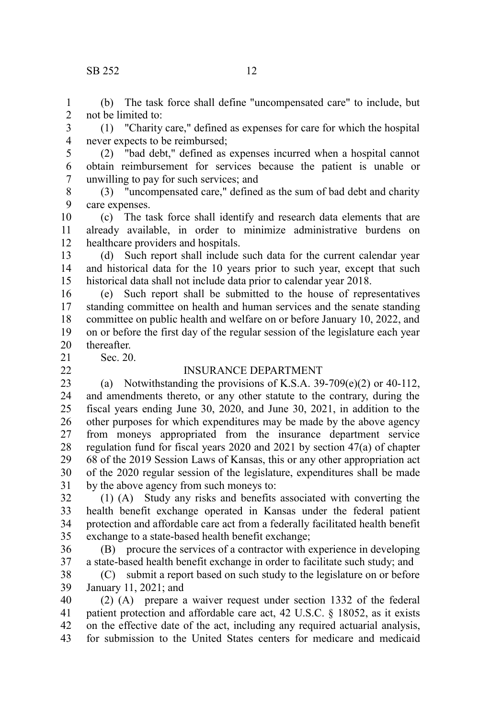### SB 252 12

(b) The task force shall define "uncompensated care" to include, but not be limited to: 1 2

(1) "Charity care," defined as expenses for care for which the hospital never expects to be reimbursed; 3 4

(2) "bad debt," defined as expenses incurred when a hospital cannot obtain reimbursement for services because the patient is unable or unwilling to pay for such services; and 5 6 7

(3) "uncompensated care," defined as the sum of bad debt and charity care expenses. 8 9

(c) The task force shall identify and research data elements that are already available, in order to minimize administrative burdens on healthcare providers and hospitals. 10 11 12

(d) Such report shall include such data for the current calendar year and historical data for the 10 years prior to such year, except that such historical data shall not include data prior to calendar year 2018. 13 14 15

(e) Such report shall be submitted to the house of representatives standing committee on health and human services and the senate standing committee on public health and welfare on or before January 10, 2022, and on or before the first day of the regular session of the legislature each year thereafter. 16 17 18 19 20

21 22 Sec. 20.

### INSURANCE DEPARTMENT

(a) Notwithstanding the provisions of K.S.A. 39-709(e)(2) or 40-112, and amendments thereto, or any other statute to the contrary, during the fiscal years ending June 30, 2020, and June 30, 2021, in addition to the other purposes for which expenditures may be made by the above agency from moneys appropriated from the insurance department service regulation fund for fiscal years 2020 and 2021 by section 47(a) of chapter 68 of the 2019 Session Laws of Kansas, this or any other appropriation act of the 2020 regular session of the legislature, expenditures shall be made by the above agency from such moneys to: 23 24 25 26 27 28 29 30 31

(1) (A) Study any risks and benefits associated with converting the health benefit exchange operated in Kansas under the federal patient protection and affordable care act from a federally facilitated health benefit exchange to a state-based health benefit exchange; 32 33 34 35

(B) procure the services of a contractor with experience in developing a state-based health benefit exchange in order to facilitate such study; and 36 37

(C) submit a report based on such study to the legislature on or before January 11, 2021; and 38 39

(2) (A) prepare a waiver request under section 1332 of the federal patient protection and affordable care act, 42 U.S.C. § 18052, as it exists on the effective date of the act, including any required actuarial analysis, for submission to the United States centers for medicare and medicaid 40 41 42 43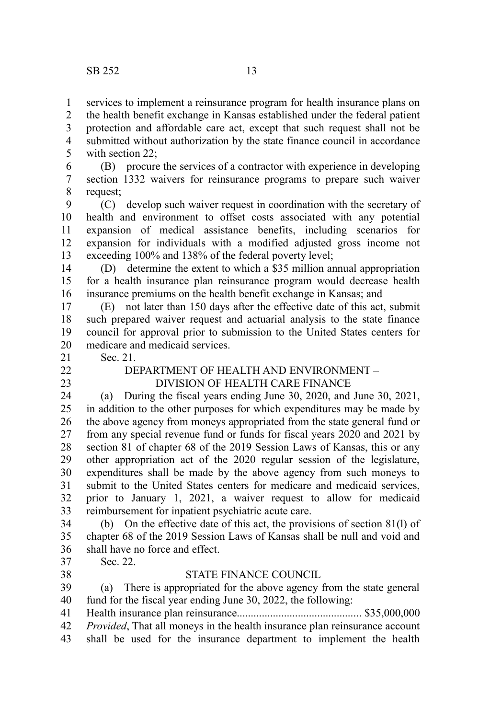services to implement a reinsurance program for health insurance plans on the health benefit exchange in Kansas established under the federal patient 1 2

protection and affordable care act, except that such request shall not be submitted without authorization by the state finance council in accordance with section 22; 3 4 5

(B) procure the services of a contractor with experience in developing section 1332 waivers for reinsurance programs to prepare such waiver request; 6 7 8

(C) develop such waiver request in coordination with the secretary of health and environment to offset costs associated with any potential expansion of medical assistance benefits, including scenarios for expansion for individuals with a modified adjusted gross income not exceeding 100% and 138% of the federal poverty level; 9 10 11 12 13

(D) determine the extent to which a \$35 million annual appropriation for a health insurance plan reinsurance program would decrease health insurance premiums on the health benefit exchange in Kansas; and 14 15 16

(E) not later than 150 days after the effective date of this act, submit such prepared waiver request and actuarial analysis to the state finance council for approval prior to submission to the United States centers for medicare and medicaid services. 17 18 19 20

Sec. 21. 21

22 23

# DEPARTMENT OF HEALTH AND ENVIRONMENT –

DIVISION OF HEALTH CARE FINANCE

(a) During the fiscal years ending June 30, 2020, and June 30, 2021, in addition to the other purposes for which expenditures may be made by the above agency from moneys appropriated from the state general fund or from any special revenue fund or funds for fiscal years 2020 and 2021 by section 81 of chapter 68 of the 2019 Session Laws of Kansas, this or any other appropriation act of the 2020 regular session of the legislature, expenditures shall be made by the above agency from such moneys to submit to the United States centers for medicare and medicaid services, prior to January 1, 2021, a waiver request to allow for medicaid reimbursement for inpatient psychiatric acute care. 24 25 26 27 28 29 30 31 32 33

(b) On the effective date of this act, the provisions of section 81(l) of chapter 68 of the 2019 Session Laws of Kansas shall be null and void and shall have no force and effect. 34 35 36

Sec. 22. 37

38

### STATE FINANCE COUNCIL

(a) There is appropriated for the above agency from the state general fund for the fiscal year ending June 30, 2022, the following: 39 40

Health insurance plan reinsurance............................................. \$35,000,000 41

- *Provided*, That all moneys in the health insurance plan reinsurance account 42
- shall be used for the insurance department to implement the health 43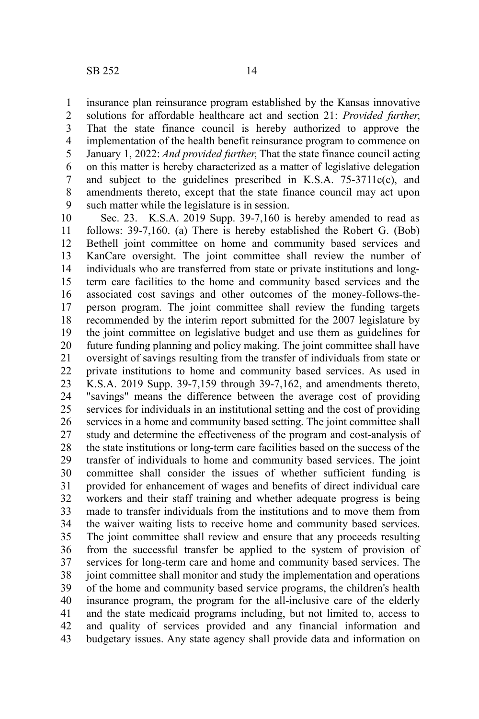insurance plan reinsurance program established by the Kansas innovative solutions for affordable healthcare act and section 21: *Provided further*, That the state finance council is hereby authorized to approve the implementation of the health benefit reinsurance program to commence on January 1, 2022: *And provided further*, That the state finance council acting on this matter is hereby characterized as a matter of legislative delegation and subject to the guidelines prescribed in K.S.A. 75-3711c(c), and amendments thereto, except that the state finance council may act upon such matter while the legislature is in session. 1 2 3 4 5 6 7 8 9

Sec. 23. K.S.A. 2019 Supp. 39-7,160 is hereby amended to read as follows: 39-7,160. (a) There is hereby established the Robert G. (Bob) Bethell joint committee on home and community based services and KanCare oversight. The joint committee shall review the number of individuals who are transferred from state or private institutions and longterm care facilities to the home and community based services and the associated cost savings and other outcomes of the money-follows-theperson program. The joint committee shall review the funding targets recommended by the interim report submitted for the 2007 legislature by the joint committee on legislative budget and use them as guidelines for future funding planning and policy making. The joint committee shall have oversight of savings resulting from the transfer of individuals from state or private institutions to home and community based services. As used in K.S.A. 2019 Supp. 39-7,159 through 39-7,162, and amendments thereto, "savings" means the difference between the average cost of providing services for individuals in an institutional setting and the cost of providing services in a home and community based setting. The joint committee shall study and determine the effectiveness of the program and cost-analysis of the state institutions or long-term care facilities based on the success of the transfer of individuals to home and community based services. The joint committee shall consider the issues of whether sufficient funding is provided for enhancement of wages and benefits of direct individual care workers and their staff training and whether adequate progress is being made to transfer individuals from the institutions and to move them from the waiver waiting lists to receive home and community based services. The joint committee shall review and ensure that any proceeds resulting from the successful transfer be applied to the system of provision of services for long-term care and home and community based services. The joint committee shall monitor and study the implementation and operations of the home and community based service programs, the children's health insurance program, the program for the all-inclusive care of the elderly and the state medicaid programs including, but not limited to, access to and quality of services provided and any financial information and budgetary issues. Any state agency shall provide data and information on 10 11 12 13 14 15 16 17 18 19 20 21 22 23 24 25 26 27 28 29 30 31 32 33 34 35 36 37 38 39 40 41 42 43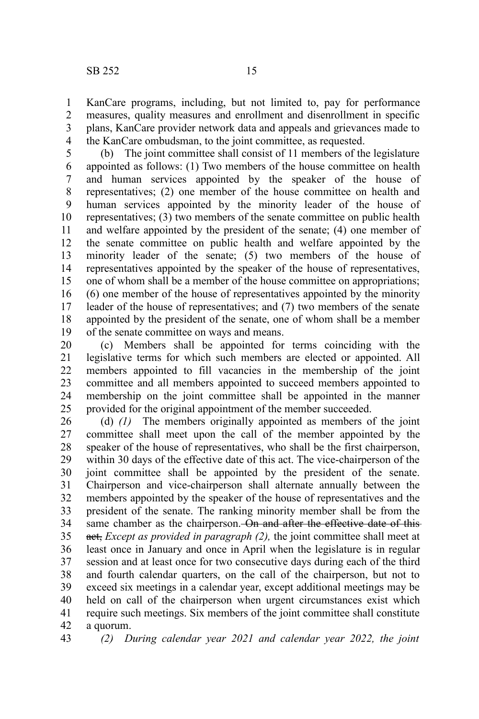KanCare programs, including, but not limited to, pay for performance measures, quality measures and enrollment and disenrollment in specific plans, KanCare provider network data and appeals and grievances made to the KanCare ombudsman, to the joint committee, as requested. 1 2 3 4

(b) The joint committee shall consist of 11 members of the legislature appointed as follows: (1) Two members of the house committee on health and human services appointed by the speaker of the house of representatives; (2) one member of the house committee on health and human services appointed by the minority leader of the house of representatives; (3) two members of the senate committee on public health and welfare appointed by the president of the senate; (4) one member of the senate committee on public health and welfare appointed by the minority leader of the senate; (5) two members of the house of representatives appointed by the speaker of the house of representatives, one of whom shall be a member of the house committee on appropriations; (6) one member of the house of representatives appointed by the minority leader of the house of representatives; and (7) two members of the senate appointed by the president of the senate, one of whom shall be a member of the senate committee on ways and means. 5 6 7 8 9 10 11 12 13 14 15 16 17 18 19

(c) Members shall be appointed for terms coinciding with the legislative terms for which such members are elected or appointed. All members appointed to fill vacancies in the membership of the joint committee and all members appointed to succeed members appointed to membership on the joint committee shall be appointed in the manner provided for the original appointment of the member succeeded. 20 21 22 23 24 25

(d) *(1)* The members originally appointed as members of the joint committee shall meet upon the call of the member appointed by the speaker of the house of representatives, who shall be the first chairperson, within 30 days of the effective date of this act. The vice-chairperson of the joint committee shall be appointed by the president of the senate. Chairperson and vice-chairperson shall alternate annually between the members appointed by the speaker of the house of representatives and the president of the senate. The ranking minority member shall be from the same chamber as the chairperson. On and after the effective date of thisact, *Except as provided in paragraph (2),* the joint committee shall meet at least once in January and once in April when the legislature is in regular session and at least once for two consecutive days during each of the third and fourth calendar quarters, on the call of the chairperson, but not to exceed six meetings in a calendar year, except additional meetings may be held on call of the chairperson when urgent circumstances exist which require such meetings. Six members of the joint committee shall constitute a quorum. 26 27 28 29 30 31 32 33 34 35 36 37 38 39 40 41 42

*(2) During calendar year 2021 and calendar year 2022, the joint* 43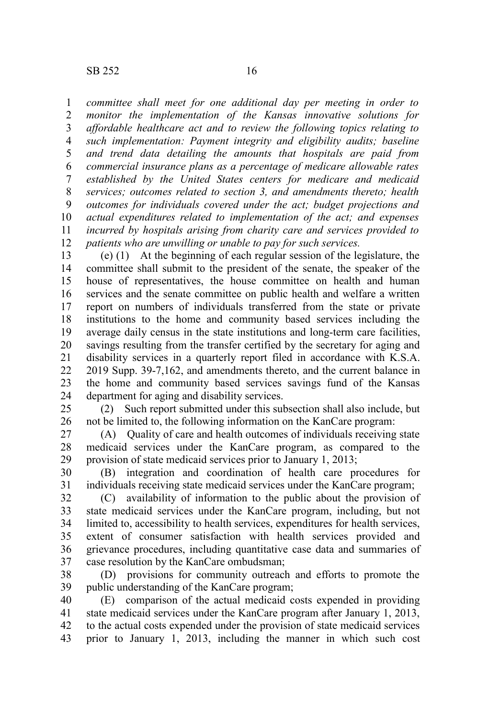*committee shall meet for one additional day per meeting in order to monitor the implementation of the Kansas innovative solutions for affordable healthcare act and to review the following topics relating to such implementation: Payment integrity and eligibility audits; baseline and trend data detailing the amounts that hospitals are paid from commercial insurance plans as a percentage of medicare allowable rates established by the United States centers for medicare and medicaid services; outcomes related to section 3, and amendments thereto; health outcomes for individuals covered under the act; budget projections and actual expenditures related to implementation of the act; and expenses incurred by hospitals arising from charity care and services provided to patients who are unwilling or unable to pay for such services.* 1 2 3 4 5 6 7 8 9 10 11 12

(e) (1) At the beginning of each regular session of the legislature, the committee shall submit to the president of the senate, the speaker of the house of representatives, the house committee on health and human services and the senate committee on public health and welfare a written report on numbers of individuals transferred from the state or private institutions to the home and community based services including the average daily census in the state institutions and long-term care facilities, savings resulting from the transfer certified by the secretary for aging and disability services in a quarterly report filed in accordance with K.S.A. 2019 Supp. 39-7,162, and amendments thereto, and the current balance in the home and community based services savings fund of the Kansas department for aging and disability services. 13 14 15 16 17 18 19 20 21 22 23 24

(2) Such report submitted under this subsection shall also include, but not be limited to, the following information on the KanCare program: 25 26

(A) Quality of care and health outcomes of individuals receiving state medicaid services under the KanCare program, as compared to the provision of state medicaid services prior to January 1, 2013; 27 28 29

(B) integration and coordination of health care procedures for individuals receiving state medicaid services under the KanCare program; 30 31

(C) availability of information to the public about the provision of state medicaid services under the KanCare program, including, but not limited to, accessibility to health services, expenditures for health services, extent of consumer satisfaction with health services provided and grievance procedures, including quantitative case data and summaries of case resolution by the KanCare ombudsman; 32 33 34 35 36 37

(D) provisions for community outreach and efforts to promote the public understanding of the KanCare program; 38 39

(E) comparison of the actual medicaid costs expended in providing state medicaid services under the KanCare program after January 1, 2013, to the actual costs expended under the provision of state medicaid services prior to January 1, 2013, including the manner in which such cost 40 41 42 43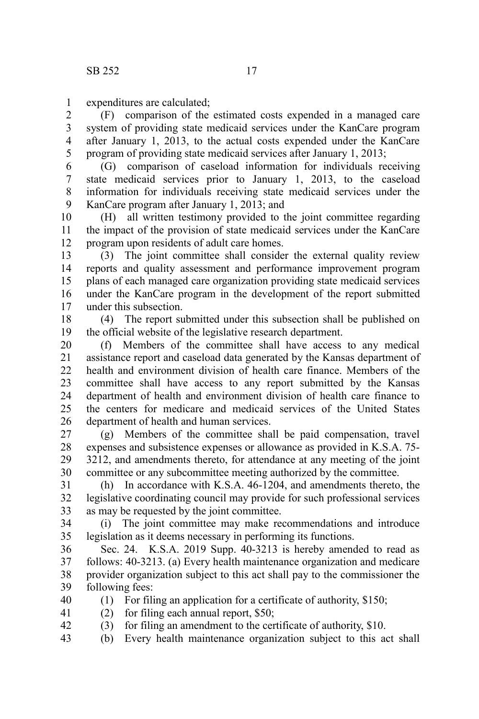expenditures are calculated; 1

(F) comparison of the estimated costs expended in a managed care system of providing state medicaid services under the KanCare program after January 1, 2013, to the actual costs expended under the KanCare program of providing state medicaid services after January 1, 2013; 2 3 4 5

(G) comparison of caseload information for individuals receiving state medicaid services prior to January 1, 2013, to the caseload information for individuals receiving state medicaid services under the KanCare program after January 1, 2013; and 6 7 8 9

(H) all written testimony provided to the joint committee regarding the impact of the provision of state medicaid services under the KanCare program upon residents of adult care homes. 10 11 12

(3) The joint committee shall consider the external quality review reports and quality assessment and performance improvement program plans of each managed care organization providing state medicaid services under the KanCare program in the development of the report submitted under this subsection. 13 14 15 16 17

(4) The report submitted under this subsection shall be published on the official website of the legislative research department. 18 19

(f) Members of the committee shall have access to any medical assistance report and caseload data generated by the Kansas department of health and environment division of health care finance. Members of the committee shall have access to any report submitted by the Kansas department of health and environment division of health care finance to the centers for medicare and medicaid services of the United States department of health and human services. 20 21 22 23 24 25 26

(g) Members of the committee shall be paid compensation, travel expenses and subsistence expenses or allowance as provided in K.S.A. 75- 3212, and amendments thereto, for attendance at any meeting of the joint committee or any subcommittee meeting authorized by the committee. 27 28 29 30

(h) In accordance with K.S.A. 46-1204, and amendments thereto, the legislative coordinating council may provide for such professional services as may be requested by the joint committee. 31 32 33

(i) The joint committee may make recommendations and introduce legislation as it deems necessary in performing its functions. 34 35

Sec. 24. K.S.A. 2019 Supp. 40-3213 is hereby amended to read as follows: 40-3213. (a) Every health maintenance organization and medicare provider organization subject to this act shall pay to the commissioner the following fees: 36 37 38 39

(1) For filing an application for a certificate of authority, \$150; 40

(2) for filing each annual report, \$50; 41

42

(3) for filing an amendment to the certificate of authority, \$10.

(b) Every health maintenance organization subject to this act shall 43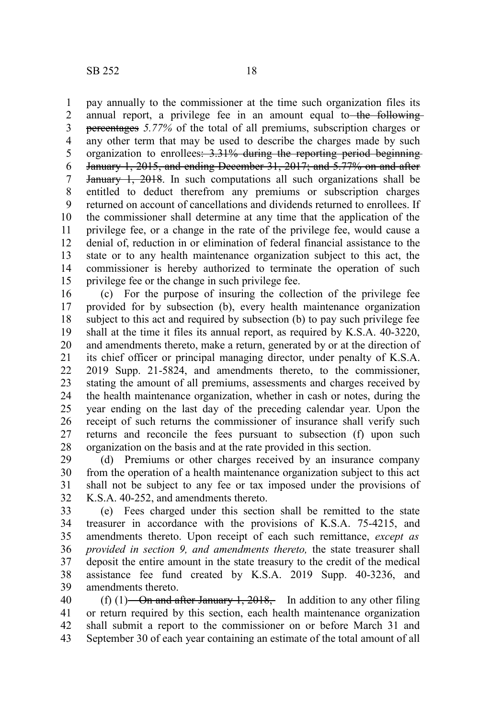pay annually to the commissioner at the time such organization files its annual report, a privilege fee in an amount equal to the followingpercentages *5.77%* of the total of all premiums, subscription charges or any other term that may be used to describe the charges made by such organization to enrollees: 3.31% during the reporting period beginning January 1, 2015, and ending December 31, 2017; and 5.77% on and after January 1, 2018. In such computations all such organizations shall be entitled to deduct therefrom any premiums or subscription charges returned on account of cancellations and dividends returned to enrollees. If the commissioner shall determine at any time that the application of the privilege fee, or a change in the rate of the privilege fee, would cause a denial of, reduction in or elimination of federal financial assistance to the state or to any health maintenance organization subject to this act, the commissioner is hereby authorized to terminate the operation of such privilege fee or the change in such privilege fee. 1 2 3 4 5 6 7 8 9 10 11 12 13 14 15

(c) For the purpose of insuring the collection of the privilege fee provided for by subsection (b), every health maintenance organization subject to this act and required by subsection (b) to pay such privilege fee shall at the time it files its annual report, as required by K.S.A. 40-3220, and amendments thereto, make a return, generated by or at the direction of its chief officer or principal managing director, under penalty of K.S.A. 2019 Supp. 21-5824, and amendments thereto, to the commissioner, stating the amount of all premiums, assessments and charges received by the health maintenance organization, whether in cash or notes, during the year ending on the last day of the preceding calendar year. Upon the receipt of such returns the commissioner of insurance shall verify such returns and reconcile the fees pursuant to subsection (f) upon such organization on the basis and at the rate provided in this section. 16 17 18 19 20 21 22 23 24 25 26 27 28

(d) Premiums or other charges received by an insurance company from the operation of a health maintenance organization subject to this act shall not be subject to any fee or tax imposed under the provisions of K.S.A. 40-252, and amendments thereto. 29 30 31 32

(e) Fees charged under this section shall be remitted to the state treasurer in accordance with the provisions of K.S.A. 75-4215, and amendments thereto. Upon receipt of each such remittance, *except as provided in section 9, and amendments thereto,* the state treasurer shall deposit the entire amount in the state treasury to the credit of the medical assistance fee fund created by K.S.A. 2019 Supp. 40-3236, and amendments thereto. 33 34 35 36 37 38 39

(f) (1)—On and after January 1, 2018,—In addition to any other filing or return required by this section, each health maintenance organization shall submit a report to the commissioner on or before March 31 and September 30 of each year containing an estimate of the total amount of all 40 41 42 43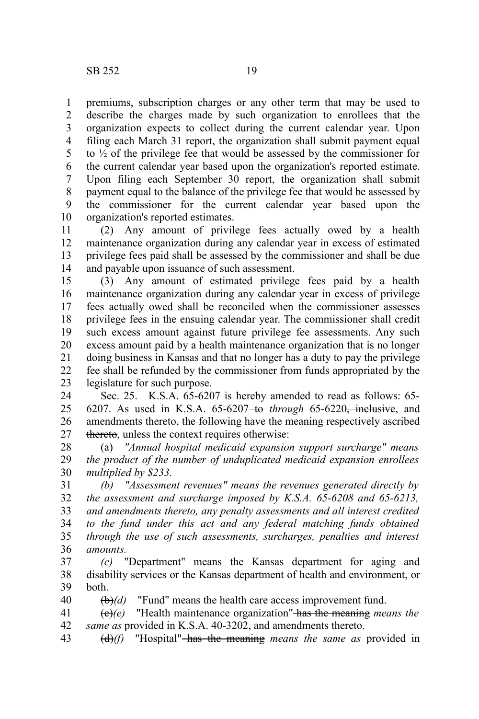premiums, subscription charges or any other term that may be used to describe the charges made by such organization to enrollees that the organization expects to collect during the current calendar year. Upon filing each March 31 report, the organization shall submit payment equal to  $\frac{1}{2}$  of the privilege fee that would be assessed by the commissioner for the current calendar year based upon the organization's reported estimate. Upon filing each September 30 report, the organization shall submit payment equal to the balance of the privilege fee that would be assessed by the commissioner for the current calendar year based upon the organization's reported estimates. 1 2 3 4 5 6 7 8 9 10

(2) Any amount of privilege fees actually owed by a health maintenance organization during any calendar year in excess of estimated privilege fees paid shall be assessed by the commissioner and shall be due and payable upon issuance of such assessment. 11 12 13 14

(3) Any amount of estimated privilege fees paid by a health maintenance organization during any calendar year in excess of privilege fees actually owed shall be reconciled when the commissioner assesses privilege fees in the ensuing calendar year. The commissioner shall credit such excess amount against future privilege fee assessments. Any such excess amount paid by a health maintenance organization that is no longer doing business in Kansas and that no longer has a duty to pay the privilege fee shall be refunded by the commissioner from funds appropriated by the legislature for such purpose. 15 16 17 18 19 20 21 22 23

Sec. 25. K.S.A. 65-6207 is hereby amended to read as follows: 65- 6207. As used in K.S.A. 65-6207 to *through* 65-6220, inclusive, and amendments thereto<del>, the following have the meaning respectively ascribed</del> thereto, unless the context requires otherwise: 24 25 26 27

(a) *"Annual hospital medicaid expansion support surcharge" means the product of the number of unduplicated medicaid expansion enrollees multiplied by \$233.* 28 29 30

*(b) "Assessment revenues" means the revenues generated directly by the assessment and surcharge imposed by K.S.A. 65-6208 and 65-6213, and amendments thereto, any penalty assessments and all interest credited to the fund under this act and any federal matching funds obtained through the use of such assessments, surcharges, penalties and interest amounts.* 31 32 33 34 35 36

*(c)* "Department" means the Kansas department for aging and disability services or the Kansas department of health and environment, or both. 37 38 39

(b)*(d)* "Fund" means the health care access improvement fund. 40

(c)*(e)* "Health maintenance organization" has the meaning *means the same as* provided in K.S.A. 40-3202, and amendments thereto. 41 42

(d)*(f)* "Hospital" has the meaning *means the same as* provided in 43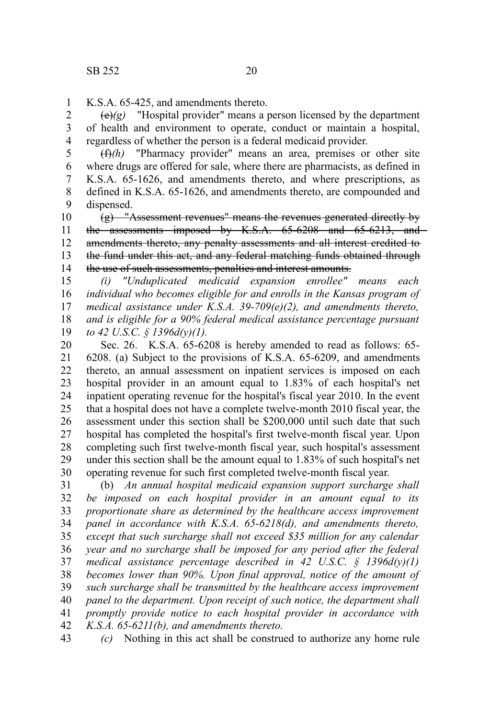K.S.A. 65-425, and amendments thereto. 1

 $\left(\frac{e}{e}\right)(g)$  "Hospital provider" means a person licensed by the department of health and environment to operate, conduct or maintain a hospital, regardless of whether the person is a federal medicaid provider. 2 3 4

(f)*(h)* "Pharmacy provider" means an area, premises or other site where drugs are offered for sale, where there are pharmacists, as defined in K.S.A. 65-1626, and amendments thereto, and where prescriptions, as defined in K.S.A. 65-1626, and amendments thereto, are compounded and dispensed. 5 6 7 8 9

(g) "Assessment revenues" means the revenues generated directly by the assessments imposed by K.S.A. 65-6208 and 65-6213, and amendments thereto, any penalty assessments and all interest credited to the fund under this act, and any federal matching funds obtained through the use of such assessments, penalties and interest amounts. 10 11 12 13 14

*(i) "Unduplicated medicaid expansion enrollee" means each individual who becomes eligible for and enrolls in the Kansas program of medical assistance under K.S.A. 39-709(e)(2), and amendments thereto, and is eligible for a 90% federal medical assistance percentage pursuant to 42 U.S.C. § 1396d(y)(1).* 15 16 17 18 19

Sec. 26. K.S.A. 65-6208 is hereby amended to read as follows: 65- 6208. (a) Subject to the provisions of K.S.A. 65-6209, and amendments thereto, an annual assessment on inpatient services is imposed on each hospital provider in an amount equal to 1.83% of each hospital's net inpatient operating revenue for the hospital's fiscal year 2010. In the event that a hospital does not have a complete twelve-month 2010 fiscal year, the assessment under this section shall be \$200,000 until such date that such hospital has completed the hospital's first twelve-month fiscal year. Upon completing such first twelve-month fiscal year, such hospital's assessment under this section shall be the amount equal to 1.83% of such hospital's net operating revenue for such first completed twelve-month fiscal year. 20 21 22 23 24 25 26 27 28 29 30

(b) *An annual hospital medicaid expansion support surcharge shall be imposed on each hospital provider in an amount equal to its proportionate share as determined by the healthcare access improvement panel in accordance with K.S.A. 65-6218(d), and amendments thereto, except that such surcharge shall not exceed \$35 million for any calendar year and no surcharge shall be imposed for any period after the federal medical assistance percentage described in 42 U.S.C. § 1396d(y)(1) becomes lower than 90%. Upon final approval, notice of the amount of such surcharge shall be transmitted by the healthcare access improvement panel to the department. Upon receipt of such notice, the department shall promptly provide notice to each hospital provider in accordance with K.S.A. 65-6211(b), and amendments thereto.* 31 32 33 34 35 36 37 38 39 40 41 42

*(c)* Nothing in this act shall be construed to authorize any home rule 43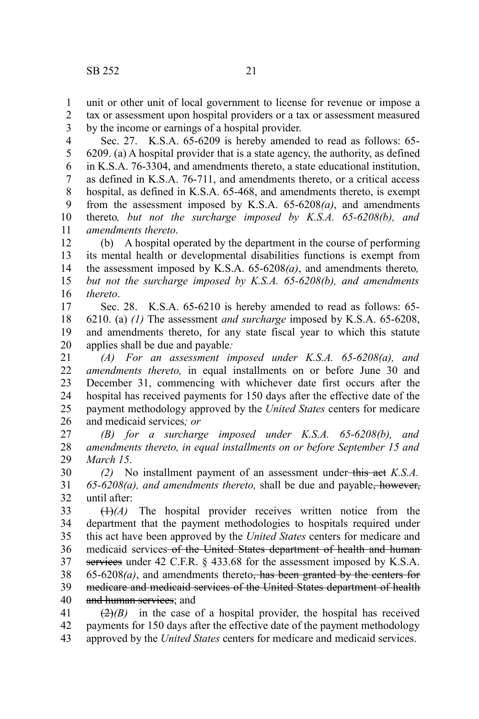unit or other unit of local government to license for revenue or impose a 1

tax or assessment upon hospital providers or a tax or assessment measured by the income or earnings of a hospital provider. 2 3

Sec. 27. K.S.A. 65-6209 is hereby amended to read as follows: 65- 6209. (a) A hospital provider that is a state agency, the authority, as defined in K.S.A. 76-3304, and amendments thereto, a state educational institution, as defined in K.S.A. 76-711, and amendments thereto, or a critical access hospital, as defined in K.S.A. 65-468, and amendments thereto, is exempt from the assessment imposed by K.S.A. 65-6208*(a)*, and amendments thereto*, but not the surcharge imposed by K.S.A. 65-6208(b), and amendments thereto*. 4 5 6 7 8 9 10 11

(b) A hospital operated by the department in the course of performing its mental health or developmental disabilities functions is exempt from the assessment imposed by K.S.A. 65-6208*(a)*, and amendments thereto*, but not the surcharge imposed by K.S.A. 65-6208(b), and amendments thereto*. 12 13 14 15 16

Sec. 28. K.S.A. 65-6210 is hereby amended to read as follows: 65- 6210. (a) *(1)* The assessment *and surcharge* imposed by K.S.A. 65-6208, and amendments thereto, for any state fiscal year to which this statute applies shall be due and payable*:* 17 18 19 20

*(A) For an assessment imposed under K.S.A. 65-6208(a), and amendments thereto,* in equal installments on or before June 30 and December 31, commencing with whichever date first occurs after the hospital has received payments for 150 days after the effective date of the payment methodology approved by the *United States* centers for medicare and medicaid services*; or* 21 22 23 24 25 26

*(B) for a surcharge imposed under K.S.A. 65-6208(b), and amendments thereto, in equal installments on or before September 15 and March 15*. 27 28 29

*(2)* No installment payment of an assessment under-this act *K.S.A. 65-6208(a), and amendments thereto,* shall be due and payable, however, until after: 30 31 32

(1)*(A)* The hospital provider receives written notice from the department that the payment methodologies to hospitals required under this act have been approved by the *United States* centers for medicare and medicaid services of the United States department of health and human services under 42 C.F.R. § 433.68 for the assessment imposed by K.S.A.  $65-6208(a)$ , and amendments thereto<del>, has been granted by the centers for</del> medicare and medicaid services of the United States department of health and human services; and 33 34 35 36 37 38 39 40

 $\left(\frac{2}{2}\right)$  in the case of a hospital provider, the hospital has received payments for 150 days after the effective date of the payment methodology approved by the *United States* centers for medicare and medicaid services. 41 42 43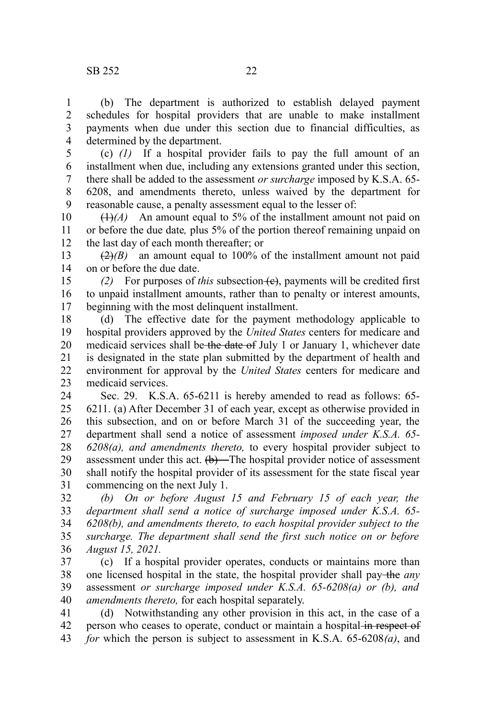(b) The department is authorized to establish delayed payment schedules for hospital providers that are unable to make installment payments when due under this section due to financial difficulties, as determined by the department. 1 2 3 4

(c) *(1)* If a hospital provider fails to pay the full amount of an installment when due, including any extensions granted under this section, there shall be added to the assessment *or surcharge* imposed by K.S.A. 65- 6208, and amendments thereto, unless waived by the department for reasonable cause, a penalty assessment equal to the lesser of: 5 6 7 8 9

 $(1)$ <sup> $(A)$ </sup> An amount equal to 5% of the installment amount not paid on or before the due date*,* plus 5% of the portion thereof remaining unpaid on the last day of each month thereafter; or 10 11 12

 $(2)$ *(B)* an amount equal to 100% of the installment amount not paid on or before the due date. 13 14

*(2)* For purposes of *this* subsection (c), payments will be credited first to unpaid installment amounts, rather than to penalty or interest amounts, beginning with the most delinquent installment. 15 16 17

(d) The effective date for the payment methodology applicable to hospital providers approved by the *United States* centers for medicare and medicaid services shall be the date of July 1 or January 1, whichever date is designated in the state plan submitted by the department of health and environment for approval by the *United States* centers for medicare and medicaid services. 18 19 20 21 22 23

Sec. 29. K.S.A. 65-6211 is hereby amended to read as follows: 65- 6211. (a) After December 31 of each year, except as otherwise provided in this subsection, and on or before March 31 of the succeeding year, the department shall send a notice of assessment *imposed under K.S.A. 65- 6208(a), and amendments thereto,* to every hospital provider subject to assessment under this act.  $(b)$ —The hospital provider notice of assessment shall notify the hospital provider of its assessment for the state fiscal year commencing on the next July 1. 24 25 26 27 28 29 30 31

*(b) On or before August 15 and February 15 of each year, the department shall send a notice of surcharge imposed under K.S.A. 65- 6208(b), and amendments thereto, to each hospital provider subject to the surcharge. The department shall send the first such notice on or before August 15, 2021.* 32 33 34 35 36

(c) If a hospital provider operates, conducts or maintains more than one licensed hospital in the state, the hospital provider shall pay the *any* assessment *or surcharge imposed under K.S.A. 65-6208(a) or (b), and amendments thereto,* for each hospital separately. 37 38 39 40

(d) Notwithstanding any other provision in this act, in the case of a person who ceases to operate, conduct or maintain a hospital in respect of *for* which the person is subject to assessment in K.S.A. 65-6208*(a)*, and 41 42 43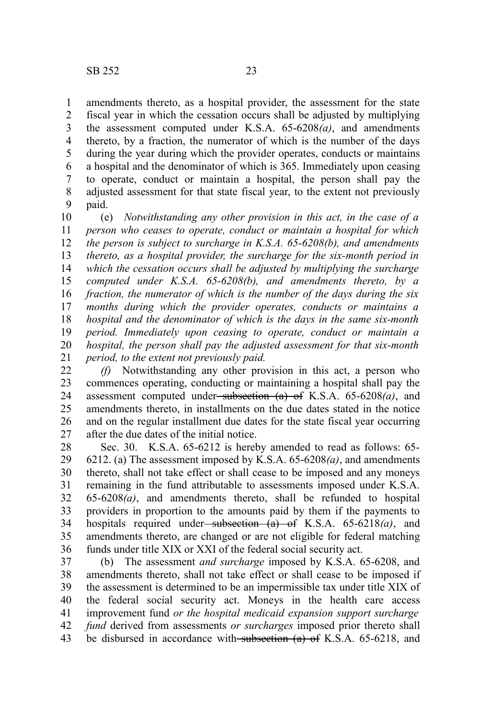amendments thereto, as a hospital provider, the assessment for the state fiscal year in which the cessation occurs shall be adjusted by multiplying the assessment computed under K.S.A. 65-6208*(a)*, and amendments thereto, by a fraction, the numerator of which is the number of the days during the year during which the provider operates, conducts or maintains a hospital and the denominator of which is 365. Immediately upon ceasing to operate, conduct or maintain a hospital, the person shall pay the adjusted assessment for that state fiscal year, to the extent not previously paid. 1 2 3 4 5 6 7 8 9

(e) *Notwithstanding any other provision in this act, in the case of a person who ceases to operate, conduct or maintain a hospital for which the person is subject to surcharge in K.S.A. 65-6208(b), and amendments thereto, as a hospital provider, the surcharge for the six-month period in which the cessation occurs shall be adjusted by multiplying the surcharge computed under K.S.A. 65-6208(b), and amendments thereto, by a fraction, the numerator of which is the number of the days during the six months during which the provider operates, conducts or maintains a hospital and the denominator of which is the days in the same six-month period. Immediately upon ceasing to operate, conduct or maintain a hospital, the person shall pay the adjusted assessment for that six-month period, to the extent not previously paid.* 10 11 12 13 14 15 16 17 18 19 20 21

*(f)* Notwithstanding any other provision in this act, a person who commences operating, conducting or maintaining a hospital shall pay the assessment computed under subsection (a) of K.S.A. 65-6208*(a)*, and amendments thereto, in installments on the due dates stated in the notice and on the regular installment due dates for the state fiscal year occurring after the due dates of the initial notice. 22 23 24 25 26 27

Sec. 30. K.S.A. 65-6212 is hereby amended to read as follows: 65- 6212. (a) The assessment imposed by K.S.A. 65-6208*(a)*, and amendments thereto, shall not take effect or shall cease to be imposed and any moneys remaining in the fund attributable to assessments imposed under K.S.A. 65-6208*(a)*, and amendments thereto, shall be refunded to hospital providers in proportion to the amounts paid by them if the payments to hospitals required under<del>-subsection (a) of</del> K.S.A. 65-6218(a), and amendments thereto, are changed or are not eligible for federal matching funds under title XIX or XXI of the federal social security act. 28 29 30 31 32 33 34 35 36

(b) The assessment *and surcharge* imposed by K.S.A. 65-6208, and amendments thereto, shall not take effect or shall cease to be imposed if the assessment is determined to be an impermissible tax under title XIX of the federal social security act. Moneys in the health care access improvement fund *or the hospital medicaid expansion support surcharge fund* derived from assessments *or surcharges* imposed prior thereto shall be disbursed in accordance with subsection (a) of K.S.A. 65-6218, and 37 38 39 40 41 42 43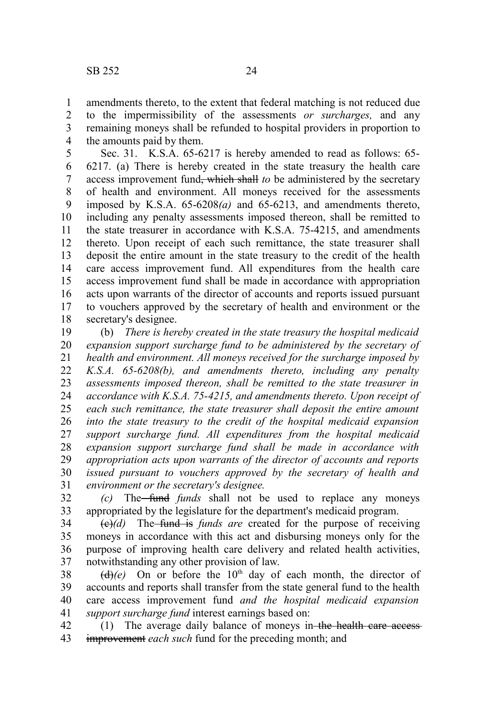amendments thereto, to the extent that federal matching is not reduced due to the impermissibility of the assessments *or surcharges,* and any remaining moneys shall be refunded to hospital providers in proportion to the amounts paid by them. 1 2 3 4

Sec. 31. K.S.A. 65-6217 is hereby amended to read as follows: 65- 6217. (a) There is hereby created in the state treasury the health care access improvement fund, which shall *to* be administered by the secretary of health and environment. All moneys received for the assessments imposed by K.S.A. 65-6208*(a)* and 65-6213, and amendments thereto, including any penalty assessments imposed thereon, shall be remitted to the state treasurer in accordance with K.S.A. 75-4215, and amendments thereto. Upon receipt of each such remittance, the state treasurer shall deposit the entire amount in the state treasury to the credit of the health care access improvement fund. All expenditures from the health care access improvement fund shall be made in accordance with appropriation acts upon warrants of the director of accounts and reports issued pursuant to vouchers approved by the secretary of health and environment or the secretary's designee. 5 6 7 8 9 10 11 12 13 14 15 16 17 18

(b) *There is hereby created in the state treasury the hospital medicaid expansion support surcharge fund to be administered by the secretary of health and environment. All moneys received for the surcharge imposed by K.S.A. 65-6208(b), and amendments thereto, including any penalty assessments imposed thereon, shall be remitted to the state treasurer in accordance with K.S.A. 75-4215, and amendments thereto. Upon receipt of each such remittance, the state treasurer shall deposit the entire amount into the state treasury to the credit of the hospital medicaid expansion support surcharge fund. All expenditures from the hospital medicaid expansion support surcharge fund shall be made in accordance with appropriation acts upon warrants of the director of accounts and reports issued pursuant to vouchers approved by the secretary of health and environment or the secretary's designee.* 19 20 21 22 23 24 25 26 27 28 29 30 31

*(c)* The fund *funds* shall not be used to replace any moneys appropriated by the legislature for the department's medicaid program. 32 33

(c)*(d)* The fund is *funds are* created for the purpose of receiving moneys in accordance with this act and disbursing moneys only for the purpose of improving health care delivery and related health activities, notwithstanding any other provision of law. 34 35 36 37

 $\left(\frac{d}{e}\right)(e)$  On or before the 10<sup>th</sup> day of each month, the director of accounts and reports shall transfer from the state general fund to the health care access improvement fund *and the hospital medicaid expansion support surcharge fund* interest earnings based on: 38 39 40 41

(1) The average daily balance of moneys in the health care access improvement *each such* fund for the preceding month; and 42 43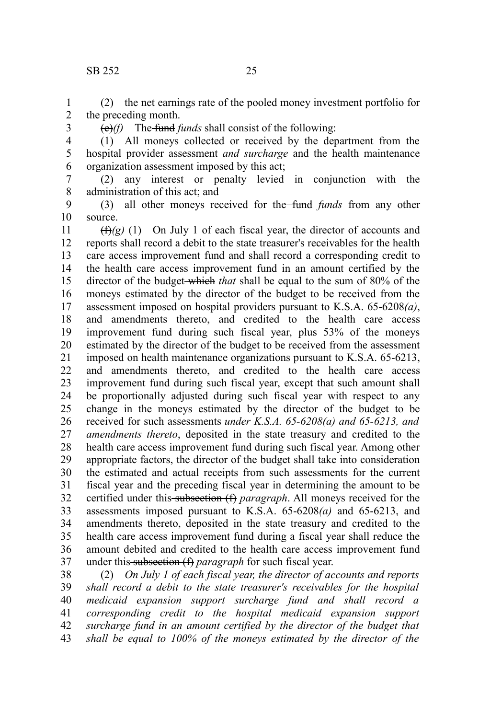#### SB 252 25

(2) the net earnings rate of the pooled money investment portfolio for the preceding month. 1 2

3

(e)*(f)* The fund *funds* shall consist of the following:

(1) All moneys collected or received by the department from the hospital provider assessment *and surcharge* and the health maintenance organization assessment imposed by this act; 4 5 6

(2) any interest or penalty levied in conjunction with the administration of this act; and 7 8

(3) all other moneys received for the fund *funds* from any other source. 9 10

 $(f(x)(g)$  (1) On July 1 of each fiscal year, the director of accounts and reports shall record a debit to the state treasurer's receivables for the health care access improvement fund and shall record a corresponding credit to the health care access improvement fund in an amount certified by the director of the budget which *that* shall be equal to the sum of 80% of the moneys estimated by the director of the budget to be received from the assessment imposed on hospital providers pursuant to K.S.A. 65-6208*(a)*, and amendments thereto, and credited to the health care access improvement fund during such fiscal year, plus 53% of the moneys estimated by the director of the budget to be received from the assessment imposed on health maintenance organizations pursuant to K.S.A. 65-6213, and amendments thereto, and credited to the health care access improvement fund during such fiscal year, except that such amount shall be proportionally adjusted during such fiscal year with respect to any change in the moneys estimated by the director of the budget to be received for such assessments *under K.S.A. 65-6208(a) and 65-6213, and amendments thereto*, deposited in the state treasury and credited to the health care access improvement fund during such fiscal year. Among other appropriate factors, the director of the budget shall take into consideration the estimated and actual receipts from such assessments for the current fiscal year and the preceding fiscal year in determining the amount to be certified under this subsection (f) *paragraph*. All moneys received for the assessments imposed pursuant to K.S.A. 65-6208*(a)* and 65-6213, and amendments thereto, deposited in the state treasury and credited to the health care access improvement fund during a fiscal year shall reduce the amount debited and credited to the health care access improvement fund under this subsection (f) *paragraph* for such fiscal year. 11 12 13 14 15 16 17 18 19 20 21 22 23 24 25 26 27 28 29 30 31 32 33 34 35 36 37

(2) *On July 1 of each fiscal year, the director of accounts and reports shall record a debit to the state treasurer's receivables for the hospital medicaid expansion support surcharge fund and shall record a corresponding credit to the hospital medicaid expansion support surcharge fund in an amount certified by the director of the budget that shall be equal to 100% of the moneys estimated by the director of the* 38 39 40 41 42 43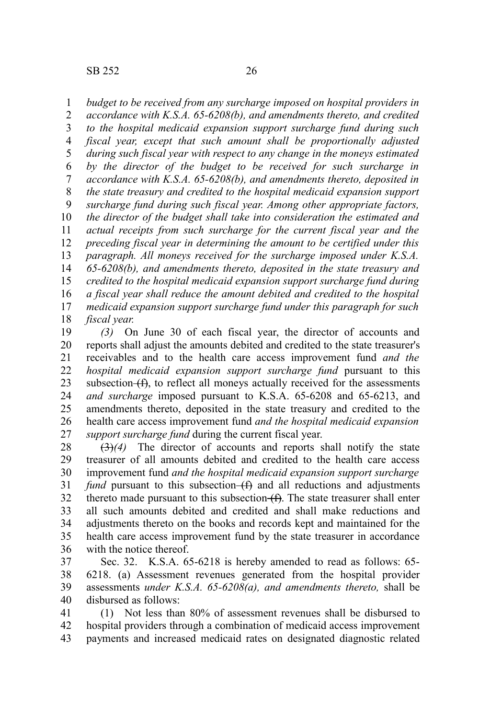*budget to be received from any surcharge imposed on hospital providers in* 1

*accordance with K.S.A. 65-6208(b), and amendments thereto, and credited to the hospital medicaid expansion support surcharge fund during such fiscal year, except that such amount shall be proportionally adjusted during such fiscal year with respect to any change in the moneys estimated by the director of the budget to be received for such surcharge in accordance with K.S.A. 65-6208(b), and amendments thereto, deposited in the state treasury and credited to the hospital medicaid expansion support surcharge fund during such fiscal year. Among other appropriate factors, the director of the budget shall take into consideration the estimated and actual receipts from such surcharge for the current fiscal year and the preceding fiscal year in determining the amount to be certified under this paragraph. All moneys received for the surcharge imposed under K.S.A. 65-6208(b), and amendments thereto, deposited in the state treasury and credited to the hospital medicaid expansion support surcharge fund during a fiscal year shall reduce the amount debited and credited to the hospital medicaid expansion support surcharge fund under this paragraph for such fiscal year.* 2 3 4 5 6 7 8 9 10 11 12 13 14 15 16 17 18

*(3)* On June 30 of each fiscal year, the director of accounts and reports shall adjust the amounts debited and credited to the state treasurer's receivables and to the health care access improvement fund *and the hospital medicaid expansion support surcharge fund* pursuant to this subsection  $(f)$ , to reflect all moneys actually received for the assessments *and surcharge* imposed pursuant to K.S.A. 65-6208 and 65-6213, and amendments thereto, deposited in the state treasury and credited to the health care access improvement fund *and the hospital medicaid expansion support surcharge fund* during the current fiscal year. 19 20 21 22 23 24 25 26 27

(3)*(4)* The director of accounts and reports shall notify the state treasurer of all amounts debited and credited to the health care access improvement fund *and the hospital medicaid expansion support surcharge fund* pursuant to this subsection  $(f)$  and all reductions and adjustments thereto made pursuant to this subsection  $(f)$ . The state treasurer shall enter all such amounts debited and credited and shall make reductions and adjustments thereto on the books and records kept and maintained for the health care access improvement fund by the state treasurer in accordance with the notice thereof. 28 29 30 31 32 33 34 35 36

Sec. 32. K.S.A. 65-6218 is hereby amended to read as follows: 65- 6218. (a) Assessment revenues generated from the hospital provider assessments *under K.S.A. 65-6208(a), and amendments thereto,* shall be disbursed as follows: 37 38 39 40

(1) Not less than 80% of assessment revenues shall be disbursed to hospital providers through a combination of medicaid access improvement payments and increased medicaid rates on designated diagnostic related 41 42 43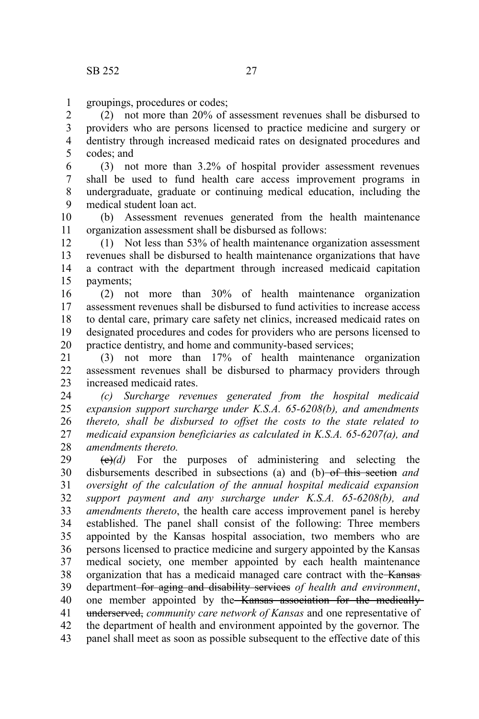groupings, procedures or codes; 1

(2) not more than 20% of assessment revenues shall be disbursed to providers who are persons licensed to practice medicine and surgery or dentistry through increased medicaid rates on designated procedures and codes; and 2 3 4 5

(3) not more than 3.2% of hospital provider assessment revenues shall be used to fund health care access improvement programs in undergraduate, graduate or continuing medical education, including the medical student loan act. 6 7 8 9

(b) Assessment revenues generated from the health maintenance organization assessment shall be disbursed as follows: 10 11

(1) Not less than 53% of health maintenance organization assessment revenues shall be disbursed to health maintenance organizations that have a contract with the department through increased medicaid capitation payments; 12 13 14 15

(2) not more than 30% of health maintenance organization assessment revenues shall be disbursed to fund activities to increase access to dental care, primary care safety net clinics, increased medicaid rates on designated procedures and codes for providers who are persons licensed to practice dentistry, and home and community-based services; 16 17 18 19 20

(3) not more than 17% of health maintenance organization assessment revenues shall be disbursed to pharmacy providers through increased medicaid rates. 21  $22$ 23

*(c) Surcharge revenues generated from the hospital medicaid expansion support surcharge under K.S.A. 65-6208(b), and amendments thereto, shall be disbursed to offset the costs to the state related to medicaid expansion beneficiaries as calculated in K.S.A. 65-6207(a), and amendments thereto.* 24 25 26 27 28

 $(e)(d)$  For the purposes of administering and selecting the disbursements described in subsections (a) and (b) of this section *and oversight of the calculation of the annual hospital medicaid expansion support payment and any surcharge under K.S.A. 65-6208(b), and amendments thereto*, the health care access improvement panel is hereby established. The panel shall consist of the following: Three members appointed by the Kansas hospital association, two members who are persons licensed to practice medicine and surgery appointed by the Kansas medical society, one member appointed by each health maintenance organization that has a medicaid managed care contract with the Kansas department for aging and disability services *of health and environment*, one member appointed by the Kansas association for the medicallyunderserved, *community care network of Kansas* and one representative of the department of health and environment appointed by the governor. The panel shall meet as soon as possible subsequent to the effective date of this 29 30 31 32 33 34 35 36 37 38 39 40 41 42 43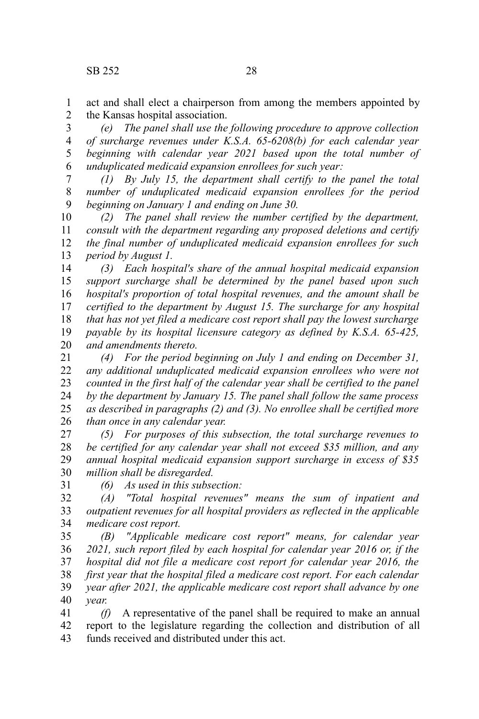act and shall elect a chairperson from among the members appointed by the Kansas hospital association. 1 2

*(e) The panel shall use the following procedure to approve collection of surcharge revenues under K.S.A. 65-6208(b) for each calendar year beginning with calendar year 2021 based upon the total number of unduplicated medicaid expansion enrollees for such year:* 3 4 5 6

*(1) By July 15, the department shall certify to the panel the total number of unduplicated medicaid expansion enrollees for the period beginning on January 1 and ending on June 30.* 7 8 9

*(2) The panel shall review the number certified by the department, consult with the department regarding any proposed deletions and certify the final number of unduplicated medicaid expansion enrollees for such period by August 1.* 10 11 12 13

*(3) Each hospital's share of the annual hospital medicaid expansion support surcharge shall be determined by the panel based upon such hospital's proportion of total hospital revenues, and the amount shall be certified to the department by August 15. The surcharge for any hospital that has not yet filed a medicare cost report shall pay the lowest surcharge payable by its hospital licensure category as defined by K.S.A. 65-425, and amendments thereto.* 14 15 16 17 18 19 20

*(4) For the period beginning on July 1 and ending on December 31, any additional unduplicated medicaid expansion enrollees who were not counted in the first half of the calendar year shall be certified to the panel by the department by January 15. The panel shall follow the same process as described in paragraphs (2) and (3). No enrollee shall be certified more than once in any calendar year.* 21 22 23 24 25 26

*(5) For purposes of this subsection, the total surcharge revenues to be certified for any calendar year shall not exceed \$35 million, and any annual hospital medicaid expansion support surcharge in excess of \$35 million shall be disregarded.* 27 28 29 30

31

*(6) As used in this subsection:* 

*(A) "Total hospital revenues" means the sum of inpatient and outpatient revenues for all hospital providers as reflected in the applicable medicare cost report.*  32 33 34

*(B) "Applicable medicare cost report" means, for calendar year 2021, such report filed by each hospital for calendar year 2016 or, if the hospital did not file a medicare cost report for calendar year 2016, the first year that the hospital filed a medicare cost report. For each calendar year after 2021, the applicable medicare cost report shall advance by one year.* 35 36 37 38 39 40

*(f)* A representative of the panel shall be required to make an annual report to the legislature regarding the collection and distribution of all funds received and distributed under this act. 41 42 43